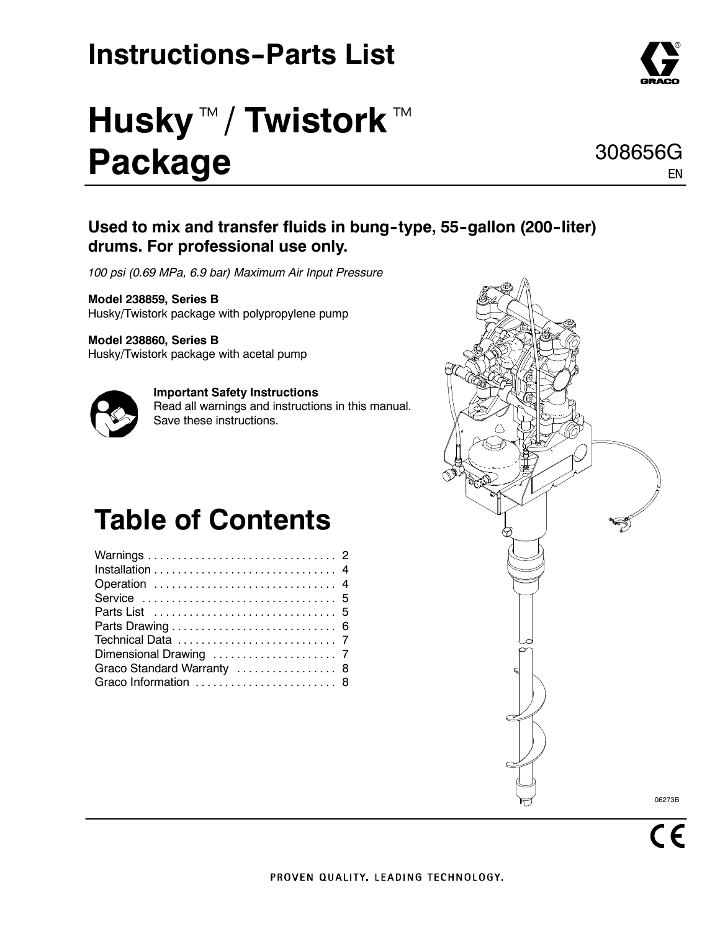## **Instructions-Parts List**

# **Husky**™/Twistork™ **Package**

#### Used to mix and transfer fluids in bung-type, 55-gallon (200-liter) **drums. For professional use only.**

*100 psi (0.69 MPa, 6.9 bar) Maximum Air Input Pressure*

**Model 238859, Series B** Husky/Twistork package with polypropylene pump

#### **Model 238860, Series B**

Husky/Twistork package with acetal pump



**Important Safety Instructions** Read all warnings and instructions in this manual. Save these instructions.

## **Table of Contents**

| Operation  4               |  |
|----------------------------|--|
|                            |  |
|                            |  |
|                            |  |
|                            |  |
|                            |  |
| Graco Standard Warranty  8 |  |
| Graco Information  8       |  |





EN

308656G

 $\overline{\mathsf{CE}}$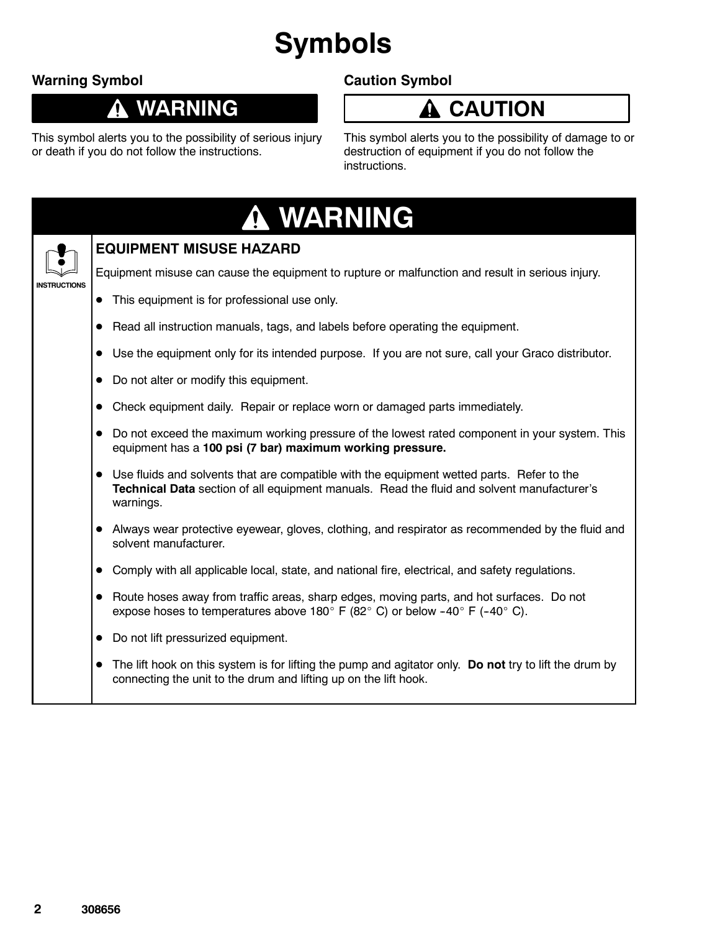## **Symbols**

#### **Warning Symbol**

 $\boldsymbol{\Lambda}$ 

### **WARNING**

#### **Caution Symbol**

### **A** CAUTION

This symbol alerts you to the possibility of serious injury or death if you do not follow the instructions.

This symbol alerts you to the possibility of damage to or destruction of equipment if you do not follow the instructions.

|                     | A WARNING                                                                                                                                                                                                       |
|---------------------|-----------------------------------------------------------------------------------------------------------------------------------------------------------------------------------------------------------------|
|                     | <b>EQUIPMENT MISUSE HAZARD</b>                                                                                                                                                                                  |
| <b>INSTRUCTIONS</b> | Equipment misuse can cause the equipment to rupture or malfunction and result in serious injury.                                                                                                                |
|                     | This equipment is for professional use only.                                                                                                                                                                    |
|                     | Read all instruction manuals, tags, and labels before operating the equipment.                                                                                                                                  |
|                     | Use the equipment only for its intended purpose. If you are not sure, call your Graco distributor.                                                                                                              |
|                     | Do not alter or modify this equipment.                                                                                                                                                                          |
|                     | Check equipment daily. Repair or replace worn or damaged parts immediately.                                                                                                                                     |
|                     | Do not exceed the maximum working pressure of the lowest rated component in your system. This<br>equipment has a 100 psi (7 bar) maximum working pressure.                                                      |
|                     | Use fluids and solvents that are compatible with the equipment wetted parts. Refer to the<br>Technical Data section of all equipment manuals. Read the fluid and solvent manufacturer's<br>warnings.            |
|                     | Always wear protective eyewear, gloves, clothing, and respirator as recommended by the fluid and<br>solvent manufacturer.                                                                                       |
|                     | Comply with all applicable local, state, and national fire, electrical, and safety regulations.                                                                                                                 |
|                     | Route hoses away from traffic areas, sharp edges, moving parts, and hot surfaces. Do not<br>expose hoses to temperatures above 180 $^{\circ}$ F (82 $^{\circ}$ C) or below -40 $^{\circ}$ F (-40 $^{\circ}$ C). |
|                     | Do not lift pressurized equipment.                                                                                                                                                                              |
|                     | The lift hook on this system is for lifting the pump and agitator only. Do not try to lift the drum by<br>connecting the unit to the drum and lifting up on the lift hook.                                      |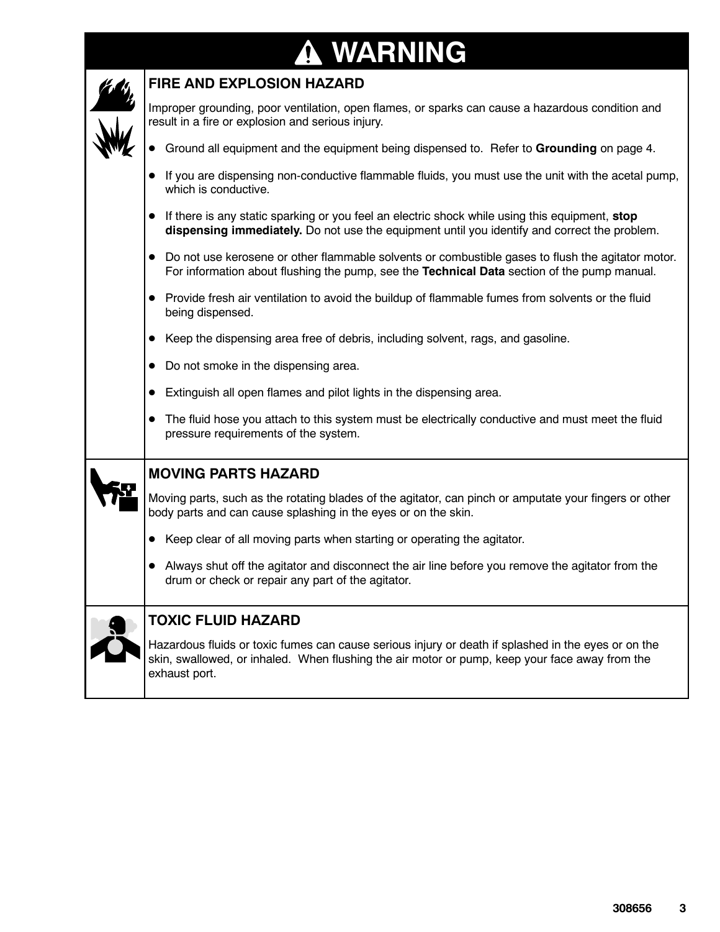## **WARNING**

| <b>FIRE AND EXPLOSION HAZARD</b>                                                                                                                                                                                       |
|------------------------------------------------------------------------------------------------------------------------------------------------------------------------------------------------------------------------|
| Improper grounding, poor ventilation, open flames, or sparks can cause a hazardous condition and<br>result in a fire or explosion and serious injury.                                                                  |
| • Ground all equipment and the equipment being dispensed to. Refer to Grounding on page 4.                                                                                                                             |
| If you are dispensing non-conductive flammable fluids, you must use the unit with the acetal pump,<br>which is conductive.                                                                                             |
| • If there is any static sparking or you feel an electric shock while using this equipment, stop<br>dispensing immediately. Do not use the equipment until you identify and correct the problem.                       |
| Do not use kerosene or other flammable solvents or combustible gases to flush the agitator motor.<br>For information about flushing the pump, see the Technical Data section of the pump manual.                       |
| Provide fresh air ventilation to avoid the buildup of flammable fumes from solvents or the fluid<br>being dispensed.                                                                                                   |
| Keep the dispensing area free of debris, including solvent, rags, and gasoline.                                                                                                                                        |
| Do not smoke in the dispensing area.                                                                                                                                                                                   |
| Extinguish all open flames and pilot lights in the dispensing area.                                                                                                                                                    |
| • The fluid hose you attach to this system must be electrically conductive and must meet the fluid<br>pressure requirements of the system.                                                                             |
| <b>MOVING PARTS HAZARD</b>                                                                                                                                                                                             |
| Moving parts, such as the rotating blades of the agitator, can pinch or amputate your fingers or other<br>body parts and can cause splashing in the eyes or on the skin.                                               |
| • Keep clear of all moving parts when starting or operating the agitator.                                                                                                                                              |
| Always shut off the agitator and disconnect the air line before you remove the agitator from the<br>drum or check or repair any part of the agitator.                                                                  |
| <b>TOXIC FLUID HAZARD</b>                                                                                                                                                                                              |
| Hazardous fluids or toxic fumes can cause serious injury or death if splashed in the eyes or on the<br>skin, swallowed, or inhaled. When flushing the air motor or pump, keep your face away from the<br>exhaust port. |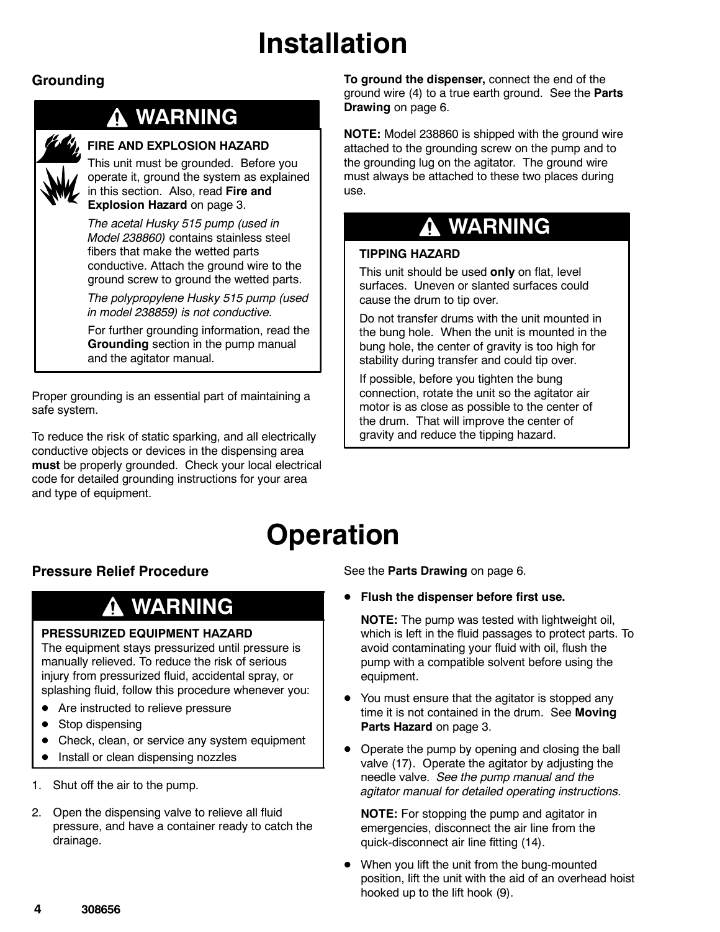## **Installation**

#### **Grounding**

### **WARNING**

#### **FIRE AND EXPLOSION HAZARD**

This unit must be grounded. Before you operate it, ground the system as explained in this section. Also, read **Fire and Explosion Hazard** on page 3.

*The acetal Husky 515 pump (used in Model 238860)* contains stainless steel fibers that make the wetted parts conductive. Attach the ground wire to the ground screw to ground the wetted parts.

*The polypropylene Husky 515 pump (used in model 238859) is not conductive.*

For further grounding information, read the **Grounding** section in the pump manual and the agitator manual.

Proper grounding is an essential part of maintaining a safe system.

To reduce the risk of static sparking, and all electrically conductive objects or devices in the dispensing area **must** be properly grounded. Check your local electrical code for detailed grounding instructions for your area and type of equipment.

**To ground the dispenser,** connect the end of the ground wire (4) to a true earth ground. See the **Parts Drawing** on page 6.

**NOTE:** Model 238860 is shipped with the ground wire attached to the grounding screw on the pump and to the grounding lug on the agitator. The ground wire must always be attached to these two places during use.

### **WARNING**

#### **TIPPING HAZARD**

This unit should be used **only** on flat, level surfaces. Uneven or slanted surfaces could cause the drum to tip over.

Do not transfer drums with the unit mounted in the bung hole. When the unit is mounted in the bung hole, the center of gravity is too high for stability during transfer and could tip over.

If possible, before you tighten the bung connection, rotate the unit so the agitator air motor is as close as possible to the center of the drum. That will improve the center of gravity and reduce the tipping hazard.

### **Operation**

#### **Pressure Relief Procedure**

### **WARNING**

#### **PRESSURIZED EQUIPMENT HAZARD**

The equipment stays pressurized until pressure is manually relieved. To reduce the risk of serious injury from pressurized fluid, accidental spray, or splashing fluid, follow this procedure whenever you:

- Are instructed to relieve pressure
- Stop dispensing
- Check, clean, or service any system equipment
- Install or clean dispensing nozzles
- 1. Shut off the air to the pump.
- 2. Open the dispensing valve to relieve all fluid pressure, and have a container ready to catch the drainage.

See the **Parts Drawing** on page 6.

- **Flush the dispenser before first use.** 
	- **NOTE:** The pump was tested with lightweight oil, which is left in the fluid passages to protect parts. To avoid contaminating your fluid with oil, flush the pump with a compatible solvent before using the equipment.
- You must ensure that the agitator is stopped any time it is not contained in the drum. See **Moving Parts Hazard** on page 3.
- Operate the pump by opening and closing the ball valve (17). Operate the agitator by adjusting the needle valve. *See the pump manual and the agitator manual for detailed operating instructions.*

**NOTE:** For stopping the pump and agitator in emergencies, disconnect the air line from the quick-disconnect air line fitting (14).

• When you lift the unit from the bung-mounted position, lift the unit with the aid of an overhead hoist hooked up to the lift hook (9).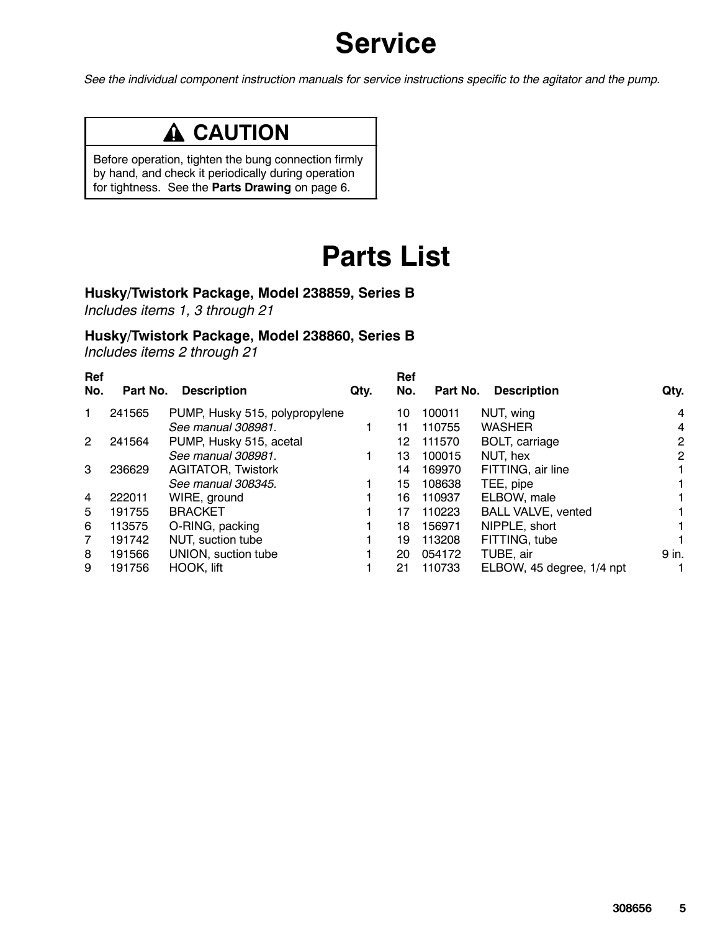## **Service**

*See the individual component instruction manuals for service instructions specific to the agitator and the pump.*

### **A** CAUTION

Before operation, tighten the bung connection firmly by hand, and check it periodically during operation for tightness. See the **Parts Drawing** on page 6.

### **Parts List**

### **Husky/Twistork Package, Model 238859, Series B**

*Includes items 1, 3 through 21*

#### **Husky/Twistork Package, Model 238860, Series B**

*Includes items 2 through 21*

|        | <b>Description</b>             | Qty.                        | Ref<br>No. |        | <b>Description</b>        | Qty.           |
|--------|--------------------------------|-----------------------------|------------|--------|---------------------------|----------------|
| 241565 | PUMP, Husky 515, polypropylene |                             | 10         | 100011 | NUT, wing                 | 4              |
|        | See manual 308981.             |                             | 11         | 110755 | <b>WASHER</b>             | 4              |
| 241564 | PUMP, Husky 515, acetal        |                             | 12         | 111570 | BOLT, carriage            | $\overline{2}$ |
|        | See manual 308981.             |                             | 13         | 100015 | NUT, hex                  | $\overline{2}$ |
| 236629 | <b>AGITATOR, Twistork</b>      |                             | 14         | 169970 | FITTING, air line         | 1.             |
|        | See manual 308345.             |                             | 15         | 108638 | TEE, pipe                 |                |
| 222011 | WIRE, ground                   |                             | 16         | 110937 | ELBOW, male               | 1.             |
| 191755 | <b>BRACKET</b>                 |                             | 17         | 110223 | <b>BALL VALVE, vented</b> | 1.             |
| 113575 |                                |                             | 18         | 156971 | NIPPLE, short             | 1.             |
| 191742 | NUT, suction tube              |                             | 19         | 113208 | FITTING, tube             |                |
| 191566 | UNION, suction tube            |                             | 20         | 054172 | TUBE, air                 | 9 in.          |
| 191756 | HOOK, lift                     |                             | 21         | 110733 | ELBOW, 45 degree, 1/4 npt |                |
| Ref    |                                | Part No.<br>O-RING, packing |            |        |                           | Part No.       |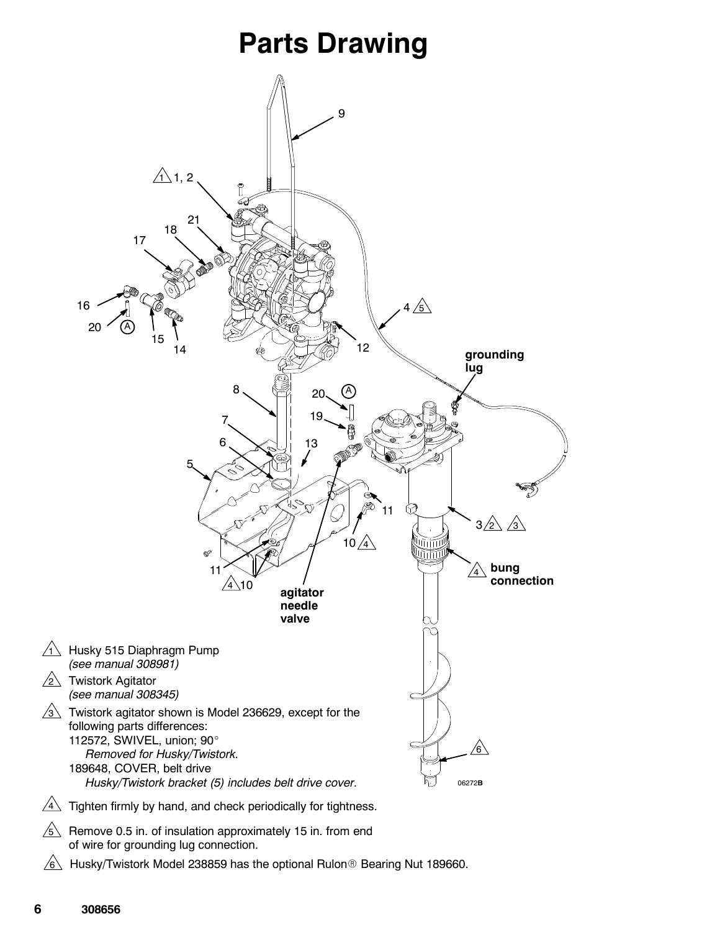### **Parts Drawing**



6 Husky/Twistork Model 238859 has the optional Rulon® Bearing Nut 189660.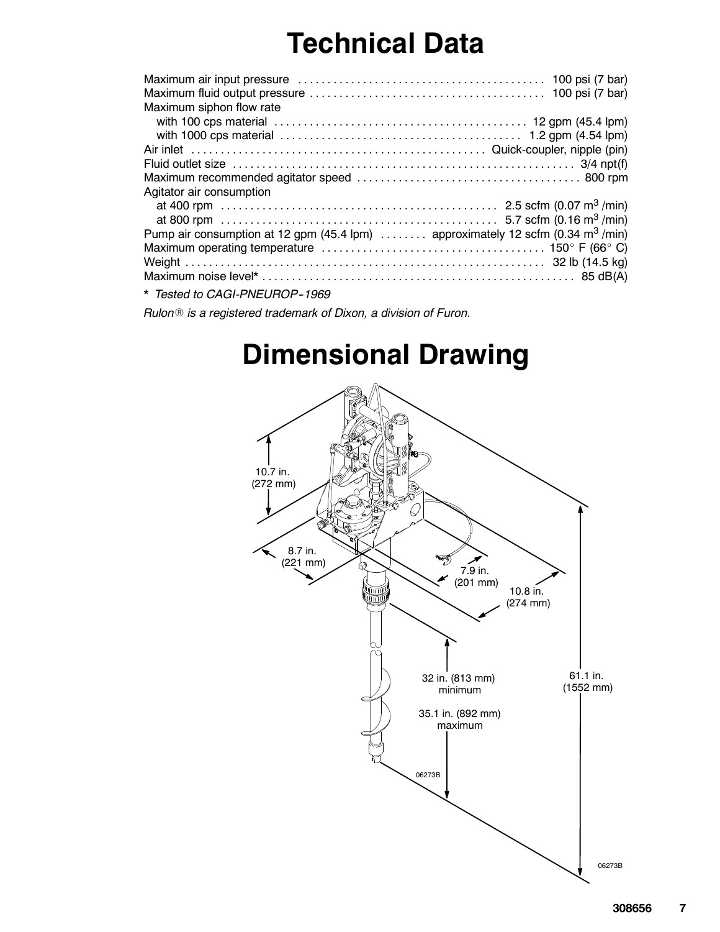## **Technical Data**

| Maximum siphon flow rate                                                                    |
|---------------------------------------------------------------------------------------------|
|                                                                                             |
|                                                                                             |
|                                                                                             |
|                                                                                             |
|                                                                                             |
| Agitator air consumption                                                                    |
|                                                                                             |
|                                                                                             |
| Pump air consumption at 12 gpm (45.4 lpm)  approximately 12 scfm (0.34 m <sup>3</sup> /min) |
|                                                                                             |
|                                                                                             |
|                                                                                             |
| * Tested to CAGI-PNEUROP-1969                                                               |

*Rulon*<sup>®</sup> *is a registered trademark of Dixon, a division of Furon.*